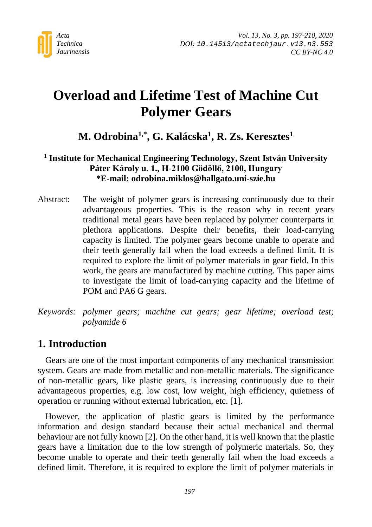

# **Overload and Lifetime Test of Machine Cut Polymer Gears**

# **M. Odrobina1,\*, G. Kalácska1, R. Zs. Keresztes1**

### **<sup>1</sup> Institute for Mechanical Engineering Technology, Szent István University Páter Károly u. 1., H-2100 Gödöllő, 2100, Hungary \*E-mail: odrobina.miklos@hallgato.uni-szie.hu**

Abstract: The weight of polymer gears is increasing continuously due to their advantageous properties. This is the reason why in recent years traditional metal gears have been replaced by polymer counterparts in plethora applications. Despite their benefits, their load-carrying capacity is limited. The polymer gears become unable to operate and their teeth generally fail when the load exceeds a defined limit. It is required to explore the limit of polymer materials in gear field. In this work, the gears are manufactured by machine cutting. This paper aims to investigate the limit of load-carrying capacity and the lifetime of POM and PA6 G gears.

*Keywords: polymer gears; machine cut gears; gear lifetime; overload test; polyamide 6*

## **1. Introduction**

Gears are one of the most important components of any mechanical transmission system. Gears are made from metallic and non-metallic materials. The significance of non-metallic gears, like plastic gears, is increasing continuously due to their advantageous properties, e.g. low cost, low weight, high efficiency, quietness of operation or running without external lubrication, etc. [1].

However, the application of plastic gears is limited by the performance information and design standard because their actual mechanical and thermal behaviour are not fully known [2]. On the other hand, it is well known that the plastic gears have a limitation due to the low strength of polymeric materials. So, they become unable to operate and their teeth generally fail when the load exceeds a defined limit. Therefore, it is required to explore the limit of polymer materials in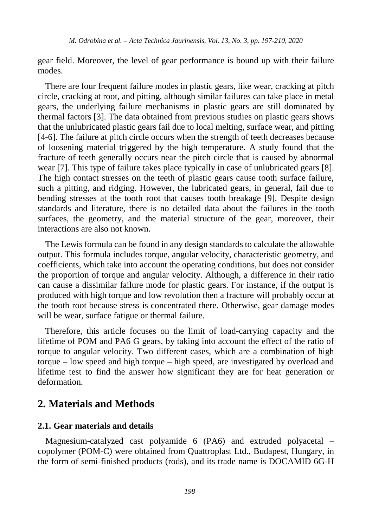gear field. Moreover, the level of gear performance is bound up with their failure modes.

There are four frequent failure modes in plastic gears, like wear, cracking at pitch circle, cracking at root, and pitting, although similar failures can take place in metal gears, the underlying failure mechanisms in plastic gears are still dominated by thermal factors [3]. The data obtained from previous studies on plastic gears shows that the unlubricated plastic gears fail due to local melting, surface wear, and pitting [4-6]. The failure at pitch circle occurs when the strength of teeth decreases because of loosening material triggered by the high temperature. A study found that the fracture of teeth generally occurs near the pitch circle that is caused by abnormal wear [7]. This type of failure takes place typically in case of unlubricated gears [8]. The high contact stresses on the teeth of plastic gears cause tooth surface failure, such a pitting, and ridging. However, the lubricated gears, in general, fail due to bending stresses at the tooth root that causes tooth breakage [9]. Despite design standards and literature, there is no detailed data about the failures in the tooth surfaces, the geometry, and the material structure of the gear, moreover, their interactions are also not known.

The Lewis formula can be found in any design standards to calculate the allowable output. This formula includes torque, angular velocity, characteristic geometry, and coefficients, which take into account the operating conditions, but does not consider the proportion of torque and angular velocity. Although, a difference in their ratio can cause a dissimilar failure mode for plastic gears. For instance, if the output is produced with high torque and low revolution then a fracture will probably occur at the tooth root because stress is concentrated there. Otherwise, gear damage modes will be wear, surface fatigue or thermal failure.

Therefore, this article focuses on the limit of load-carrying capacity and the lifetime of POM and PA6 G gears, by taking into account the effect of the ratio of torque to angular velocity. Two different cases, which are a combination of high torque – low speed and high torque – high speed, are investigated by overload and lifetime test to find the answer how significant they are for heat generation or deformation.

### **2. Materials and Methods**

#### **2.1. Gear materials and details**

Magnesium-catalyzed cast polyamide 6 (PA6) and extruded polyacetal – copolymer (POM-C) were obtained from Quattroplast Ltd., Budapest, Hungary, in the form of semi-finished products (rods), and its trade name is DOCAMID 6G-H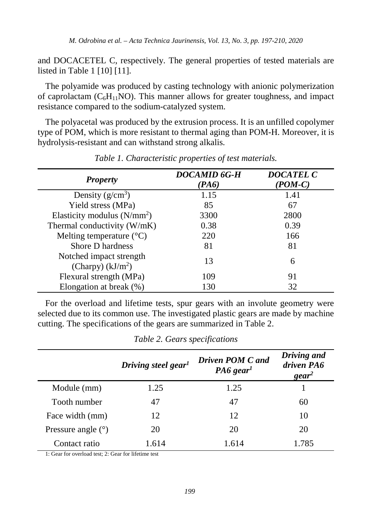and DOCACETEL C, respectively. The general properties of tested materials are listed in Table 1 [10] [11].

The polyamide was produced by casting technology with anionic polymerization of caprolactam ( $C_6H_{11}NO$ ). This manner allows for greater toughness, and impact resistance compared to the sodium-catalyzed system.

The polyacetal was produced by the extrusion process. It is an unfilled copolymer type of POM, which is more resistant to thermal aging than POM-H. Moreover, it is hydrolysis-resistant and can withstand strong alkalis.

| <b>Property</b>                               | DOCAMID 6G-H<br>(PA6) | <b>DOCATEL C</b><br>$(POM-C)$ |
|-----------------------------------------------|-----------------------|-------------------------------|
| Density $(g/cm^3)$                            | 1.15                  | 1.41                          |
| Yield stress (MPa)                            | 85                    | 67                            |
| Elasticity modulus $(N/mm2)$                  | 3300                  | 2800                          |
| Thermal conductivity (W/mK)                   | 0.38                  | 0.39                          |
| Melting temperature $(^{\circ}C)$             | 220                   | 166                           |
| Shore D hardness                              | 81                    | 81                            |
| Notched impact strength<br>(Charpy) $(kJ/m2)$ | 13                    | 6                             |
| Flexural strength (MPa)                       | 109                   | 91                            |
| Elongation at break (%)                       | 130                   | 32                            |

*Table 1. Characteristic properties of test materials.*

For the overload and lifetime tests, spur gears with an involute geometry were selected due to its common use. The investigated plastic gears are made by machine cutting. The specifications of the gears are summarized in Table 2.

|                      | Driving steel gear <sup>1</sup> | Driven POM C and<br>$PA6$ gear <sup>1</sup> | Driving and<br>driven PA6<br>$\gamma$ |
|----------------------|---------------------------------|---------------------------------------------|---------------------------------------|
| Module (mm)          | 1.25                            | 1.25                                        |                                       |
| Tooth number         | 47                              | 47                                          | 60                                    |
| Face width (mm)      | 12                              | 12                                          | 10                                    |
| Pressure angle $(°)$ | 20                              | 20                                          | 20                                    |
| Contact ratio        | 1.614                           | 1.614                                       | 1.785                                 |

*Table 2. Gears specifications*

1: Gear for overload test; 2: Gear for lifetime test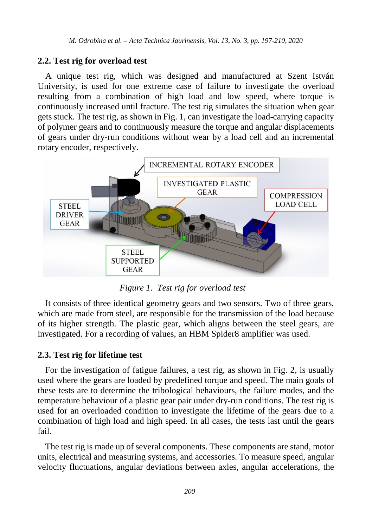#### **2.2. Test rig for overload test**

A unique test rig, which was designed and manufactured at Szent István University, is used for one extreme case of failure to investigate the overload resulting from a combination of high load and low speed, where torque is continuously increased until fracture. The test rig simulates the situation when gear gets stuck. The test rig, as shown in Fig. 1, can investigate the load-carrying capacity of polymer gears and to continuously measure the torque and angular displacements of gears under dry-run conditions without wear by a load cell and an incremental rotary encoder, respectively.



*Figure 1. Test rig for overload test*

It consists of three identical geometry gears and two sensors. Two of three gears, which are made from steel, are responsible for the transmission of the load because of its higher strength. The plastic gear, which aligns between the steel gears, are investigated. For a recording of values, an HBM Spider8 amplifier was used.

#### **2.3. Test rig for lifetime test**

For the investigation of fatigue failures, a test rig, as shown in Fig. 2, is usually used where the gears are loaded by predefined torque and speed. The main goals of these tests are to determine the tribological behaviours, the failure modes, and the temperature behaviour of a plastic gear pair under dry-run conditions. The test rig is used for an overloaded condition to investigate the lifetime of the gears due to a combination of high load and high speed. In all cases, the tests last until the gears fail.

The test rig is made up of several components. These components are stand, motor units, electrical and measuring systems, and accessories. To measure speed, angular velocity fluctuations, angular deviations between axles, angular accelerations, the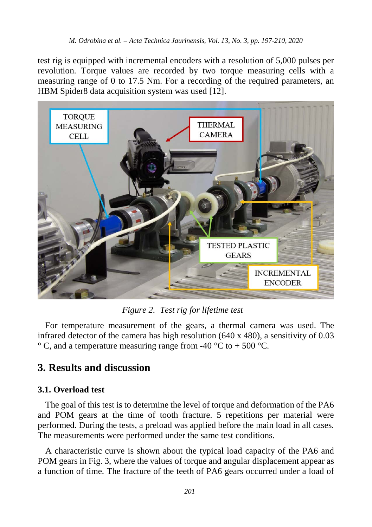test rig is equipped with incremental encoders with a resolution of 5,000 pulses per revolution. Torque values are recorded by two torque measuring cells with a measuring range of 0 to 17.5 Nm. For a recording of the required parameters, an HBM Spider8 data acquisition system was used [12].



*Figure 2. Test rig for lifetime test*

For temperature measurement of the gears, a thermal camera was used. The infrared detector of the camera has high resolution (640 x 480), a sensitivity of 0.03  $\degree$  C, and a temperature measuring range from -40  $\degree$ C to + 500  $\degree$ C.

### **3. Results and discussion**

#### **3.1. Overload test**

The goal of this test is to determine the level of torque and deformation of the PA6 and POM gears at the time of tooth fracture. 5 repetitions per material were performed. During the tests, a preload was applied before the main load in all cases. The measurements were performed under the same test conditions.

A characteristic curve is shown about the typical load capacity of the PA6 and POM gears in Fig. 3, where the values of torque and angular displacement appear as a function of time. The fracture of the teeth of PA6 gears occurred under a load of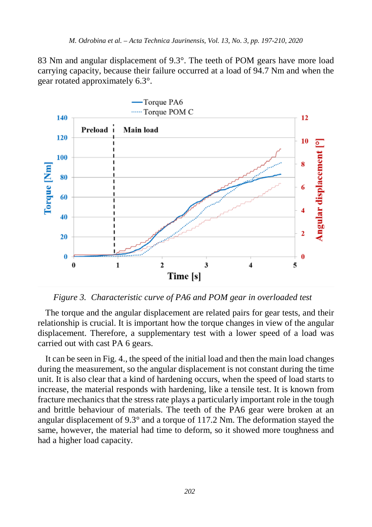83 Nm and angular displacement of 9.3°. The teeth of POM gears have more load carrying capacity, because their failure occurred at a load of 94.7 Nm and when the gear rotated approximately 6.3°.



*Figure 3. Characteristic curve of PA6 and POM gear in overloaded test*

The torque and the angular displacement are related pairs for gear tests, and their relationship is crucial. It is important how the torque changes in view of the angular displacement. Therefore, a supplementary test with a lower speed of a load was carried out with cast PA 6 gears.

It can be seen in Fig. 4., the speed of the initial load and then the main load changes during the measurement, so the angular displacement is not constant during the time unit. It is also clear that a kind of hardening occurs, when the speed of load starts to increase, the material responds with hardening, like a tensile test. It is known from fracture mechanics that the stress rate plays a particularly important role in the tough and brittle behaviour of materials. The teeth of the PA6 gear were broken at an angular displacement of 9.3° and a torque of 117.2 Nm. The deformation stayed the same, however, the material had time to deform, so it showed more toughness and had a higher load capacity.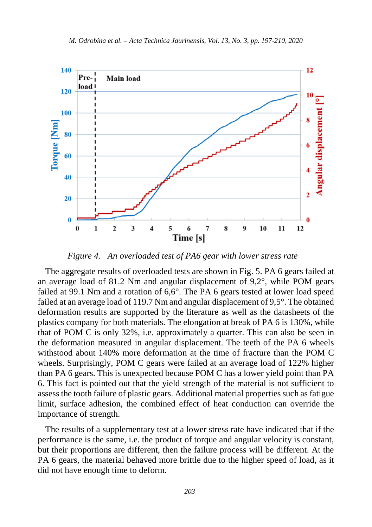

*Figure 4. An overloaded test of PA6 gear with lower stress rate* 

The aggregate results of overloaded tests are shown in Fig. 5. PA 6 gears failed at an average load of 81.2 Nm and angular displacement of 9,2°, while POM gears failed at 99.1 Nm and a rotation of 6,6°. The PA 6 gears tested at lower load speed failed at an average load of 119.7 Nm and angular displacement of 9,5°. The obtained deformation results are supported by the literature as well as the datasheets of the plastics company for both materials. The elongation at break of PA 6 is 130%, while that of POM C is only 32%, i.e. approximately a quarter. This can also be seen in the deformation measured in angular displacement. The teeth of the PA 6 wheels withstood about 140% more deformation at the time of fracture than the POM C wheels. Surprisingly, POM C gears were failed at an average load of 122% higher than PA 6 gears. This is unexpected because POM C has a lower yield point than PA 6. This fact is pointed out that the yield strength of the material is not sufficient to assess the tooth failure of plastic gears. Additional material properties such as fatigue limit, surface adhesion, the combined effect of heat conduction can override the importance of strength.

The results of a supplementary test at a lower stress rate have indicated that if the performance is the same, i.e. the product of torque and angular velocity is constant, but their proportions are different, then the failure process will be different. At the PA 6 gears, the material behaved more brittle due to the higher speed of load, as it did not have enough time to deform.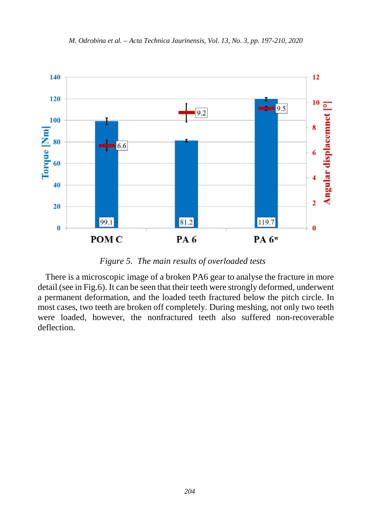

*Figure 5. The main results of overloaded tests*

There is a microscopic image of a broken PA6 gear to analyse the fracture in more detail (see in Fig.6). It can be seen that their teeth were strongly deformed, underwent a permanent deformation, and the loaded teeth fractured below the pitch circle. In most cases, two teeth are broken off completely. During meshing, not only two teeth were loaded, however, the nonfractured teeth also suffered non-recoverable deflection.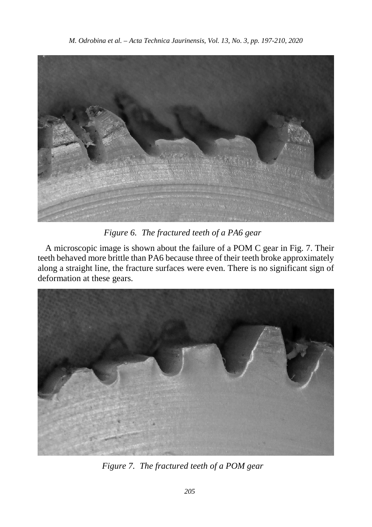

*Figure 6. The fractured teeth of a PA6 gear*

A microscopic image is shown about the failure of a POM C gear in Fig. 7. Their teeth behaved more brittle than PA6 because three of their teeth broke approximately along a straight line, the fracture surfaces were even. There is no significant sign of deformation at these gears.



*Figure 7. The fractured teeth of a POM gear*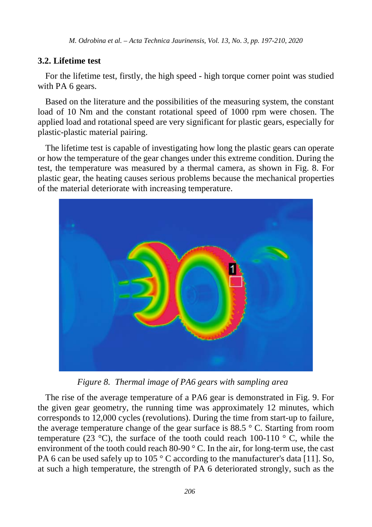*M. Odrobina et al. – Acta Technica Jaurinensis, Vol. 13, No. 3, pp. 197-210, 2020*

#### **3.2. Lifetime test**

For the lifetime test, firstly, the high speed - high torque corner point was studied with PA 6 gears.

Based on the literature and the possibilities of the measuring system, the constant load of 10 Nm and the constant rotational speed of 1000 rpm were chosen. The applied load and rotational speed are very significant for plastic gears, especially for plastic-plastic material pairing.

The lifetime test is capable of investigating how long the plastic gears can operate or how the temperature of the gear changes under this extreme condition. During the test, the temperature was measured by a thermal camera, as shown in Fig. 8. For plastic gear, the heating causes serious problems because the mechanical properties of the material deteriorate with increasing temperature.



*Figure 8. Thermal image of PA6 gears with sampling area*

The rise of the average temperature of a PA6 gear is demonstrated in Fig. 9. For the given gear geometry, the running time was approximately 12 minutes, which corresponds to 12,000 cycles (revolutions). During the time from start-up to failure, the average temperature change of the gear surface is 88.5 ° C. Starting from room temperature (23  $^{\circ}$ C), the surface of the tooth could reach 100-110  $^{\circ}$  C, while the environment of the tooth could reach 80-90 ° C. In the air, for long-term use, the cast PA 6 can be used safely up to 105 ° C according to the manufacturer's data [11]. So, at such a high temperature, the strength of PA 6 deteriorated strongly, such as the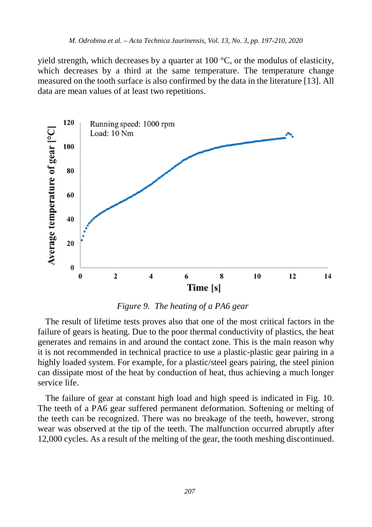yield strength, which decreases by a quarter at 100  $^{\circ}$ C, or the modulus of elasticity, which decreases by a third at the same temperature. The temperature change measured on the tooth surface is also confirmed by the data in the literature [13]. All data are mean values of at least two repetitions.



*Figure 9. The heating of a PA6 gear*

The result of lifetime tests proves also that one of the most critical factors in the failure of gears is heating. Due to the poor thermal conductivity of plastics, the heat generates and remains in and around the contact zone. This is the main reason why it is not recommended in technical practice to use a plastic-plastic gear pairing in a highly loaded system. For example, for a plastic/steel gears pairing, the steel pinion can dissipate most of the heat by conduction of heat, thus achieving a much longer service life.

The failure of gear at constant high load and high speed is indicated in Fig. 10. The teeth of a PA6 gear suffered permanent deformation. Softening or melting of the teeth can be recognized. There was no breakage of the teeth, however, strong wear was observed at the tip of the teeth. The malfunction occurred abruptly after 12,000 cycles. As a result of the melting of the gear, the tooth meshing discontinued.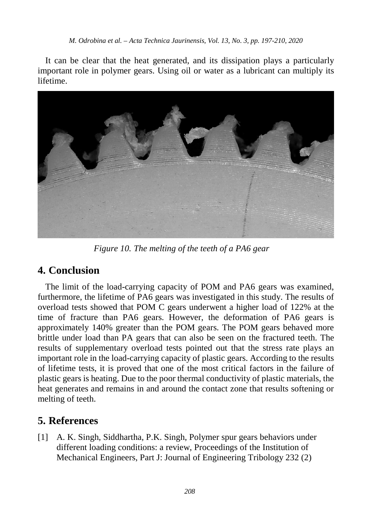It can be clear that the heat generated, and its dissipation plays a particularly important role in polymer gears. Using oil or water as a lubricant can multiply its lifetime.



*Figure 10. The melting of the teeth of a PA6 gear*

### **4. Conclusion**

The limit of the load-carrying capacity of POM and PA6 gears was examined, furthermore, the lifetime of PA6 gears was investigated in this study. The results of overload tests showed that POM C gears underwent a higher load of 122% at the time of fracture than PA6 gears. However, the deformation of PA6 gears is approximately 140% greater than the POM gears. The POM gears behaved more brittle under load than PA gears that can also be seen on the fractured teeth. The results of supplementary overload tests pointed out that the stress rate plays an important role in the load-carrying capacity of plastic gears. According to the results of lifetime tests, it is proved that one of the most critical factors in the failure of plastic gears is heating. Due to the poor thermal conductivity of plastic materials, the heat generates and remains in and around the contact zone that results softening or melting of teeth.

# **5. References**

[1] A. K. Singh, Siddhartha, P.K. Singh, Polymer spur gears behaviors under different loading conditions: a review, Proceedings of the Institution of Mechanical Engineers, Part J: Journal of Engineering Tribology 232 (2)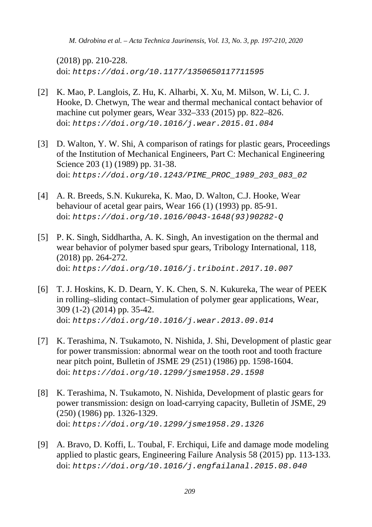*M. Odrobina et al. – Acta Technica Jaurinensis, Vol. 13, No. 3, pp. 197-210, 2020*

(2018) pp. 210-228. doi: *https://doi.org/10.1177/1350650117711595*

- [2] K. Mao, P. Langlois, Z. Hu, K. Alharbi, X. Xu, M. Milson, W. Li, C. J. Hooke, D. Chetwyn, The wear and thermal mechanical contact behavior of machine cut polymer gears, Wear 332–333 (2015) pp. 822–826. doi: *[https://doi.org/10.1016/j.wear.2015.01.084](http://dx.doi.org/10.14513/actatechjaur.v10.n2.446)*
- [3] D. Walton, Y. W. Shi, A comparison of ratings for plastic gears, Proceedings of the Institution of Mechanical Engineers, Part C: Mechanical Engineering Science 203 (1) (1989) pp. 31-38. doi: *https://doi.org/10.1243/PIME\_PROC\_1989\_203\_083\_02*
- [4] A. R. Breeds, S.N. Kukureka, K. Mao, D. Walton, C.J. Hooke, Wear behaviour of acetal gear pairs, Wear 166 (1) (1993) pp. 85-91. doi: *https://doi.org/10.1016/0043-1648(93)90282-Q*
- [5] P. K. Singh, Siddhartha, A. K. Singh, An investigation on the thermal and wear behavior of polymer based spur gears, Tribology International, 118, (2018) pp. 264-272. doi: *https://doi.org/10.1016/j.triboint.2017.10.007*
- [6] T. J. Hoskins, K. D. Dearn, Y. K. Chen, S. N. Kukureka, The wear of PEEK in rolling–sliding contact–Simulation of polymer gear applications, Wear, 309 (1-2) (2014) pp. 35-42. doi: *https://doi.org/10.1016/j.wear.2013.09.014*
- [7] K. Terashima, N. Tsukamoto, N. Nishida, J. Shi, Development of plastic gear for power transmission: abnormal wear on the tooth root and tooth fracture near pitch point, Bulletin of JSME 29 (251) (1986) pp. 1598-1604. doi: *https://doi.org/10.1299/jsme1958.29.1598*
- [8] K. Terashima, N. Tsukamoto, N. Nishida, Development of plastic gears for power transmission: design on load-carrying capacity, Bulletin of JSME, 29 (250) (1986) pp. 1326-1329. doi: *https://doi.org/10.1299/jsme1958.29.1326*
- [9] A. Bravo, D. Koffi, L. Toubal, F. Erchiqui, Life and damage mode modeling applied to plastic gears, Engineering Failure Analysis 58 (2015) pp. 113-133. doi: *https://doi.org/10.1016/j.engfailanal.2015.08.040*